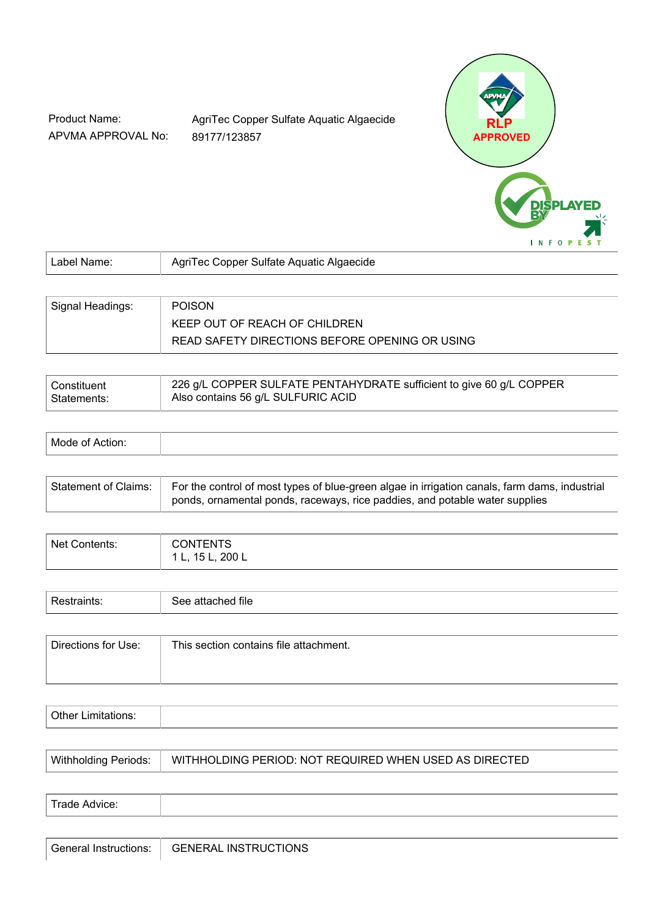Product Name: APVMA APPROVAL No: AgriTec Copper Sulfate Aquatic Algaecide 89177/123857



| Label Name:      | AgriTec Copper Sulfate Aquatic Algaecide       |  |
|------------------|------------------------------------------------|--|
|                  |                                                |  |
| Signal Headings: | <b>POISON</b>                                  |  |
|                  | KEEP OUT OF REACH OF CHILDREN                  |  |
|                  | READ SAFETY DIRECTIONS BEFORE OPENING OR USING |  |

| Constituent   | 226 g/L COPPER SULFATE PENTAHYDRATE sufficient to give 60 g/L COPPER |
|---------------|----------------------------------------------------------------------|
| ∣ Statements: | Also contains 56 g/L SULFURIC ACID                                   |

| IV/I |  |  |  |
|------|--|--|--|
|------|--|--|--|

| Statement of Claims: | For the control of most types of blue-green algae in irrigation canals, farm dams, industrial |
|----------------------|-----------------------------------------------------------------------------------------------|
|                      | ponds, ornamental ponds, raceways, rice paddies, and potable water supplies                   |

| Net Contents: | ONTENTS<br>200L<br>151<br>. |
|---------------|-----------------------------|
|               |                             |

| -<br>. | $\mathbf{r}$<br>-<br>tile<br>-<br>. |
|--------|-------------------------------------|
|        |                                     |

| Directions for Use: | This section contains file attachment. |
|---------------------|----------------------------------------|
|                     |                                        |

| $\mathbf{r}$<br>. |  |
|-------------------|--|
|                   |  |

| $T_{radat}$<br>---<br>11711 |  |  |
|-----------------------------|--|--|
|                             |  |  |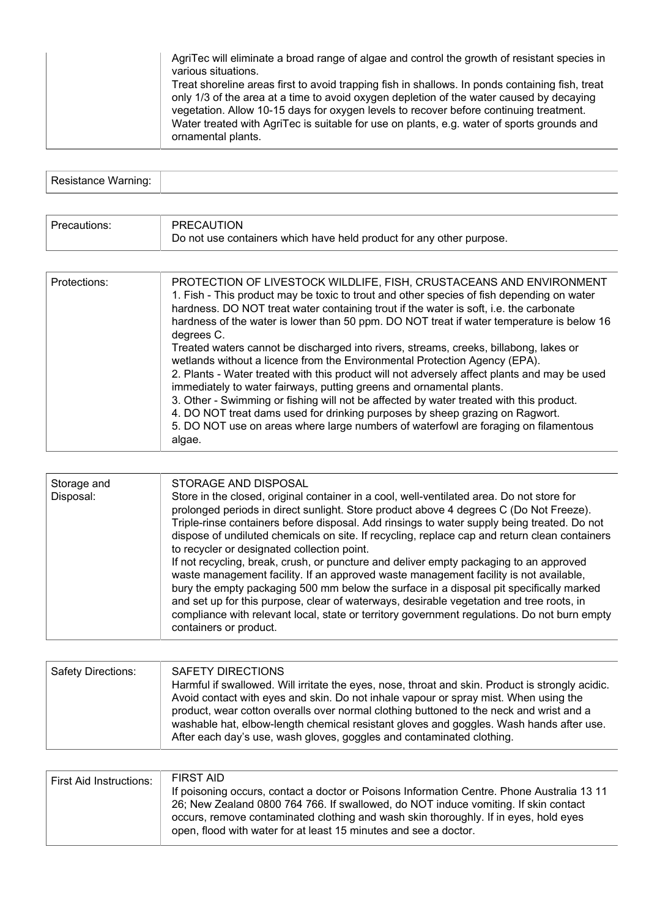| AgriTec will eliminate a broad range of algae and control the growth of resistant species in<br>various situations.<br>Treat shoreline areas first to avoid trapping fish in shallows. In ponds containing fish, treat<br>only 1/3 of the area at a time to avoid oxygen depletion of the water caused by decaying<br>vegetation. Allow 10-15 days for oxygen levels to recover before continuing treatment.<br>Water treated with AgriTec is suitable for use on plants, e.g. water of sports grounds and |
|------------------------------------------------------------------------------------------------------------------------------------------------------------------------------------------------------------------------------------------------------------------------------------------------------------------------------------------------------------------------------------------------------------------------------------------------------------------------------------------------------------|
| ornamental plants.                                                                                                                                                                                                                                                                                                                                                                                                                                                                                         |

| $D = -1 + 1 - 1 - 1$<br>Resistance warning. |  |
|---------------------------------------------|--|

| Precautions: | PRECAUTION<br>Do not use containers which have held product for any other purpose.                                                                                                  |  |
|--------------|-------------------------------------------------------------------------------------------------------------------------------------------------------------------------------------|--|
|              |                                                                                                                                                                                     |  |
| Protections: | PROTECTION OF LIVESTOCK WILDLIFE, FISH, CRUSTACEANS AND ENVIRONMENT<br>A. Fisk - This second continuous has found to found and affect on output of Calculation and the continuation |  |

| 1. Fish - This product may be toxic to trout and other species of fish depending on water<br>hardness. DO NOT treat water containing trout if the water is soft, i.e. the carbonate<br>hardness of the water is lower than 50 ppm. DO NOT treat if water temperature is below 16<br>degrees C.                                                                                                                                                                                                                                                                                                                          |
|-------------------------------------------------------------------------------------------------------------------------------------------------------------------------------------------------------------------------------------------------------------------------------------------------------------------------------------------------------------------------------------------------------------------------------------------------------------------------------------------------------------------------------------------------------------------------------------------------------------------------|
| Treated waters cannot be discharged into rivers, streams, creeks, billabong, lakes or<br>wetlands without a licence from the Environmental Protection Agency (EPA).<br>2. Plants - Water treated with this product will not adversely affect plants and may be used<br>immediately to water fairways, putting greens and ornamental plants.<br>3. Other - Swimming or fishing will not be affected by water treated with this product.<br>4. DO NOT treat dams used for drinking purposes by sheep grazing on Ragwort.<br>5. DO NOT use on areas where large numbers of waterfowl are foraging on filamentous<br>algae. |

| Storage and<br>Disposal: | STORAGE AND DISPOSAL<br>Store in the closed, original container in a cool, well-ventilated area. Do not store for<br>prolonged periods in direct sunlight. Store product above 4 degrees C (Do Not Freeze).<br>Triple-rinse containers before disposal. Add rinsings to water supply being treated. Do not<br>dispose of undiluted chemicals on site. If recycling, replace cap and return clean containers                                                                                                                                     |
|--------------------------|-------------------------------------------------------------------------------------------------------------------------------------------------------------------------------------------------------------------------------------------------------------------------------------------------------------------------------------------------------------------------------------------------------------------------------------------------------------------------------------------------------------------------------------------------|
|                          | to recycler or designated collection point.<br>If not recycling, break, crush, or puncture and deliver empty packaging to an approved<br>waste management facility. If an approved waste management facility is not available,<br>bury the empty packaging 500 mm below the surface in a disposal pit specifically marked<br>and set up for this purpose, clear of waterways, desirable vegetation and tree roots, in<br>compliance with relevant local, state or territory government regulations. Do not burn empty<br>containers or product. |

| <b>Safety Directions:</b> | SAFETY DIRECTIONS<br>Harmful if swallowed. Will irritate the eyes, nose, throat and skin. Product is strongly acidic.<br>Avoid contact with eyes and skin. Do not inhale vapour or spray mist. When using the<br>product, wear cotton overalls over normal clothing buttoned to the neck and wrist and a<br>washable hat, elbow-length chemical resistant gloves and goggles. Wash hands after use.<br>After each day's use, wash gloves, goggles and contaminated clothing. |
|---------------------------|------------------------------------------------------------------------------------------------------------------------------------------------------------------------------------------------------------------------------------------------------------------------------------------------------------------------------------------------------------------------------------------------------------------------------------------------------------------------------|
|                           |                                                                                                                                                                                                                                                                                                                                                                                                                                                                              |

| <b>First Aid Instructions:</b> | FIRST AID                                                                                  |
|--------------------------------|--------------------------------------------------------------------------------------------|
|                                | If poisoning occurs, contact a doctor or Poisons Information Centre. Phone Australia 13 11 |
|                                | 26; New Zealand 0800 764 766. If swallowed, do NOT induce vomiting. If skin contact        |
|                                | occurs, remove contaminated clothing and wash skin thoroughly. If in eyes, hold eyes       |
|                                | open, flood with water for at least 15 minutes and see a doctor.                           |
|                                |                                                                                            |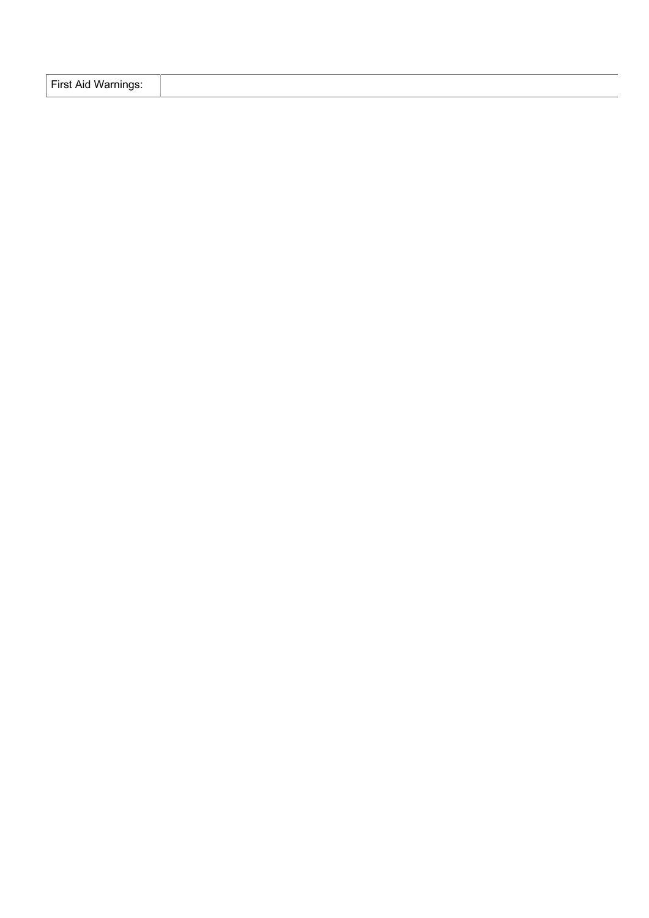| First Aid Warnings: |  |  |
|---------------------|--|--|
|---------------------|--|--|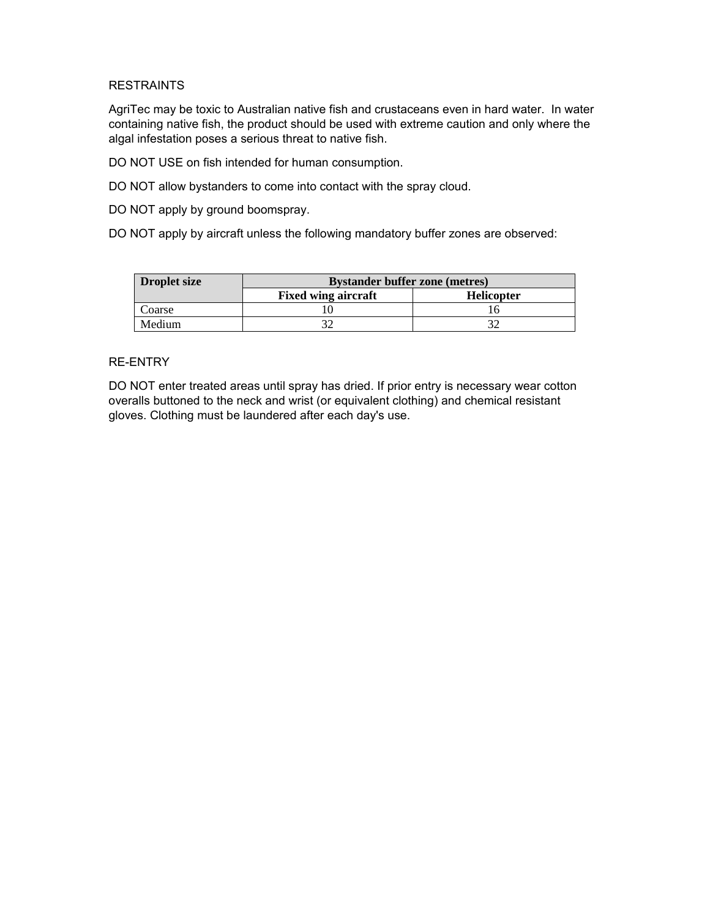## **RESTRAINTS**

AgriTec may be toxic to Australian native fish and crustaceans even in hard water. In water containing native fish, the product should be used with extreme caution and only where the algal infestation poses a serious threat to native fish.

DO NOT USE on fish intended for human consumption.

DO NOT allow bystanders to come into contact with the spray cloud.

DO NOT apply by ground boomspray.

DO NOT apply by aircraft unless the following mandatory buffer zones are observed:

| <b>Droplet size</b> | <b>Bystander buffer zone (metres)</b> |                   |  |
|---------------------|---------------------------------------|-------------------|--|
|                     | <b>Fixed wing aircraft</b>            | <b>Helicopter</b> |  |
| Coarse              |                                       |                   |  |
| Medium              |                                       |                   |  |

## RE-ENTRY

DO NOT enter treated areas until spray has dried. If prior entry is necessary wear cotton overalls buttoned to the neck and wrist (or equivalent clothing) and chemical resistant gloves. Clothing must be laundered after each day's use.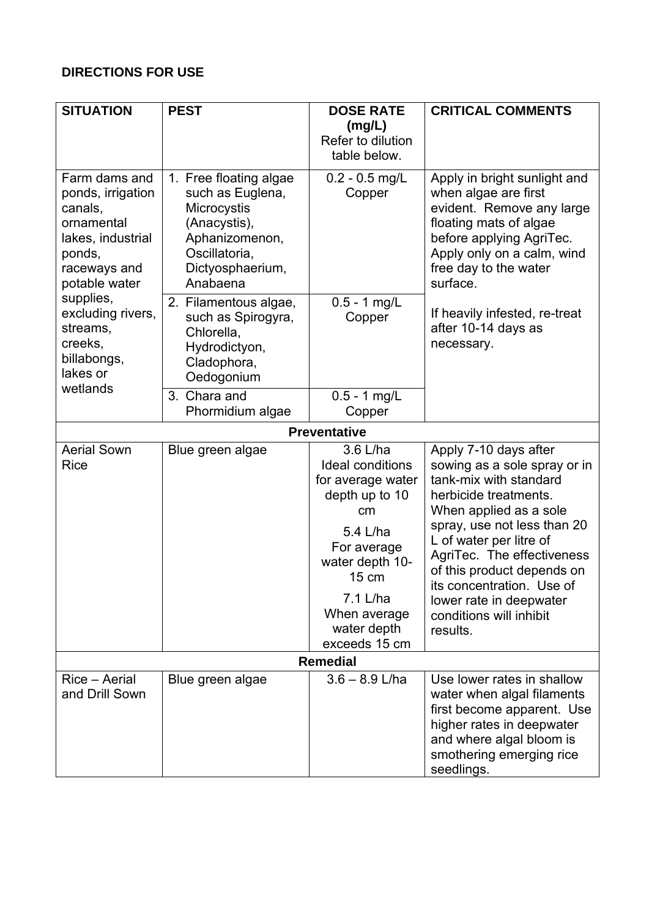## **DIRECTIONS FOR USE**

| <b>SITUATION</b>                                                                                                                                                                                                | <b>PEST</b>                                                                                                                                  | <b>DOSE RATE</b>                                                                                                                                                                                    | <b>CRITICAL COMMENTS</b>                                                                                                                                                                                                                                                                                                                                |  |
|-----------------------------------------------------------------------------------------------------------------------------------------------------------------------------------------------------------------|----------------------------------------------------------------------------------------------------------------------------------------------|-----------------------------------------------------------------------------------------------------------------------------------------------------------------------------------------------------|---------------------------------------------------------------------------------------------------------------------------------------------------------------------------------------------------------------------------------------------------------------------------------------------------------------------------------------------------------|--|
|                                                                                                                                                                                                                 |                                                                                                                                              | (mg/L)<br>Refer to dilution<br>table below.                                                                                                                                                         |                                                                                                                                                                                                                                                                                                                                                         |  |
| Farm dams and<br>ponds, irrigation<br>canals,<br>ornamental<br>lakes, industrial<br>ponds,<br>raceways and<br>potable water<br>supplies,<br>excluding rivers,<br>streams,<br>creeks,<br>billabongs,<br>lakes or | 1. Free floating algae<br>such as Euglena,<br>Microcystis<br>(Anacystis),<br>Aphanizomenon,<br>Oscillatoria,<br>Dictyosphaerium,<br>Anabaena | $0.2 - 0.5$ mg/L<br>Copper                                                                                                                                                                          | Apply in bright sunlight and<br>when algae are first<br>evident. Remove any large<br>floating mats of algae<br>before applying AgriTec.<br>Apply only on a calm, wind<br>free day to the water<br>surface.                                                                                                                                              |  |
|                                                                                                                                                                                                                 | 2. Filamentous algae,<br>such as Spirogyra,<br>Chlorella,<br>Hydrodictyon,<br>Cladophora,<br>Oedogonium                                      | $0.5 - 1$ mg/L<br>Copper                                                                                                                                                                            | If heavily infested, re-treat<br>after 10-14 days as<br>necessary.                                                                                                                                                                                                                                                                                      |  |
| wetlands                                                                                                                                                                                                        | 3. Chara and<br>Phormidium algae                                                                                                             | $0.5 - 1$ mg/L<br>Copper                                                                                                                                                                            |                                                                                                                                                                                                                                                                                                                                                         |  |
|                                                                                                                                                                                                                 |                                                                                                                                              | <b>Preventative</b>                                                                                                                                                                                 |                                                                                                                                                                                                                                                                                                                                                         |  |
| <b>Aerial Sown</b><br><b>Rice</b>                                                                                                                                                                               | Blue green algae                                                                                                                             | 3.6 L/ha<br><b>Ideal conditions</b><br>for average water<br>depth up to 10<br>cm<br>5.4 L/ha<br>For average<br>water depth 10-<br>15 cm<br>7.1 L/ha<br>When average<br>water depth<br>exceeds 15 cm | Apply 7-10 days after<br>sowing as a sole spray or in<br>tank-mix with standard<br>herbicide treatments.<br>When applied as a sole<br>spray, use not less than 20<br>L of water per litre of<br>AgriTec. The effectiveness<br>of this product depends on<br>its concentration. Use of<br>lower rate in deepwater<br>conditions will inhibit<br>results. |  |
| <b>Remedial</b>                                                                                                                                                                                                 |                                                                                                                                              |                                                                                                                                                                                                     |                                                                                                                                                                                                                                                                                                                                                         |  |
| Rice - Aerial<br>and Drill Sown                                                                                                                                                                                 | Blue green algae                                                                                                                             | $3.6 - 8.9$ L/ha                                                                                                                                                                                    | Use lower rates in shallow<br>water when algal filaments<br>first become apparent. Use<br>higher rates in deepwater<br>and where algal bloom is<br>smothering emerging rice<br>seedlings.                                                                                                                                                               |  |